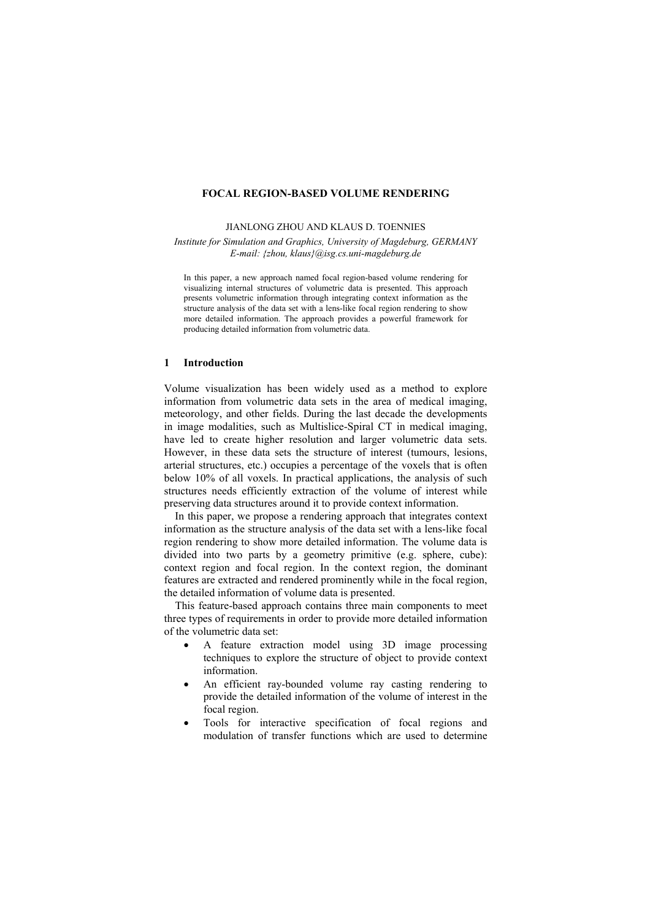## **FOCAL REGION-BASED VOLUME RENDERING**

#### JIANLONG ZHOU AND KLAUS D. TOENNIES

*Institute for Simulation and Graphics, University of Magdeburg, GERMANY E-mail: {zhou, klaus}@isg.cs.uni-magdeburg.de*

In this paper, a new approach named focal region-based volume rendering for visualizing internal structures of volumetric data is presented. This approach presents volumetric information through integrating context information as the structure analysis of the data set with a lens-like focal region rendering to show more detailed information. The approach provides a powerful framework for producing detailed information from volumetric data.

## **1 Introduction**

Volume visualization has been widely used as a method to explore information from volumetric data sets in the area of medical imaging, meteorology, and other fields. During the last decade the developments in image modalities, such as Multislice-Spiral CT in medical imaging, have led to create higher resolution and larger volumetric data sets. However, in these data sets the structure of interest (tumours, lesions, arterial structures, etc.) occupies a percentage of the voxels that is often below 10% of all voxels. In practical applications, the analysis of such structures needs efficiently extraction of the volume of interest while preserving data structures around it to provide context information.

In this paper, we propose a rendering approach that integrates context information as the structure analysis of the data set with a lens-like focal region rendering to show more detailed information. The volume data is divided into two parts by a geometry primitive (e.g. sphere, cube): context region and focal region. In the context region, the dominant features are extracted and rendered prominently while in the focal region, the detailed information of volume data is presented.

 This feature-based approach contains three main components to meet three types of requirements in order to provide more detailed information of the volumetric data set:

- A feature extraction model using 3D image processing techniques to explore the structure of object to provide context information.
- An efficient ray-bounded volume ray casting rendering to provide the detailed information of the volume of interest in the focal region.
- Tools for interactive specification of focal regions and modulation of transfer functions which are used to determine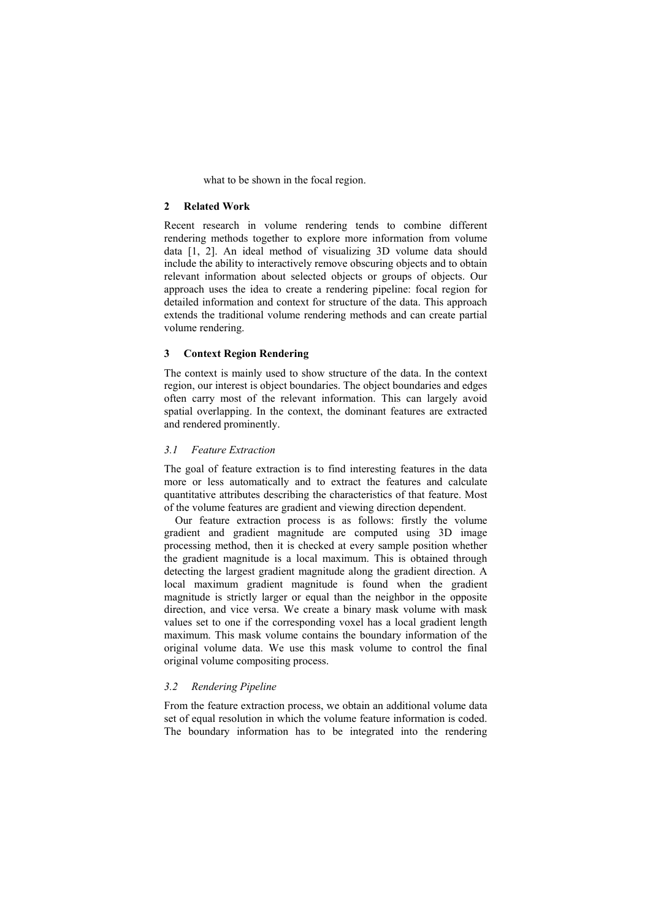what to be shown in the focal region.

## **2 Related Work**

Recent research in volume rendering tends to combine different rendering methods together to explore more information from volume data [1, 2]. An ideal method of visualizing 3D volume data should include the ability to interactively remove obscuring objects and to obtain relevant information about selected objects or groups of objects. Our approach uses the idea to create a rendering pipeline: focal region for detailed information and context for structure of the data. This approach extends the traditional volume rendering methods and can create partial volume rendering.

# **3 Context Region Rendering**

The context is mainly used to show structure of the data. In the context region, our interest is object boundaries. The object boundaries and edges often carry most of the relevant information. This can largely avoid spatial overlapping. In the context, the dominant features are extracted and rendered prominently.

## *3.1 Feature Extraction*

The goal of feature extraction is to find interesting features in the data more or less automatically and to extract the features and calculate quantitative attributes describing the characteristics of that feature. Most of the volume features are gradient and viewing direction dependent.

 Our feature extraction process is as follows: firstly the volume gradient and gradient magnitude are computed using 3D image processing method, then it is checked at every sample position whether the gradient magnitude is a local maximum. This is obtained through detecting the largest gradient magnitude along the gradient direction. A local maximum gradient magnitude is found when the gradient magnitude is strictly larger or equal than the neighbor in the opposite direction, and vice versa. We create a binary mask volume with mask values set to one if the corresponding voxel has a local gradient length maximum. This mask volume contains the boundary information of the original volume data. We use this mask volume to control the final original volume compositing process.

## *3.2 Rendering Pipeline*

From the feature extraction process, we obtain an additional volume data set of equal resolution in which the volume feature information is coded. The boundary information has to be integrated into the rendering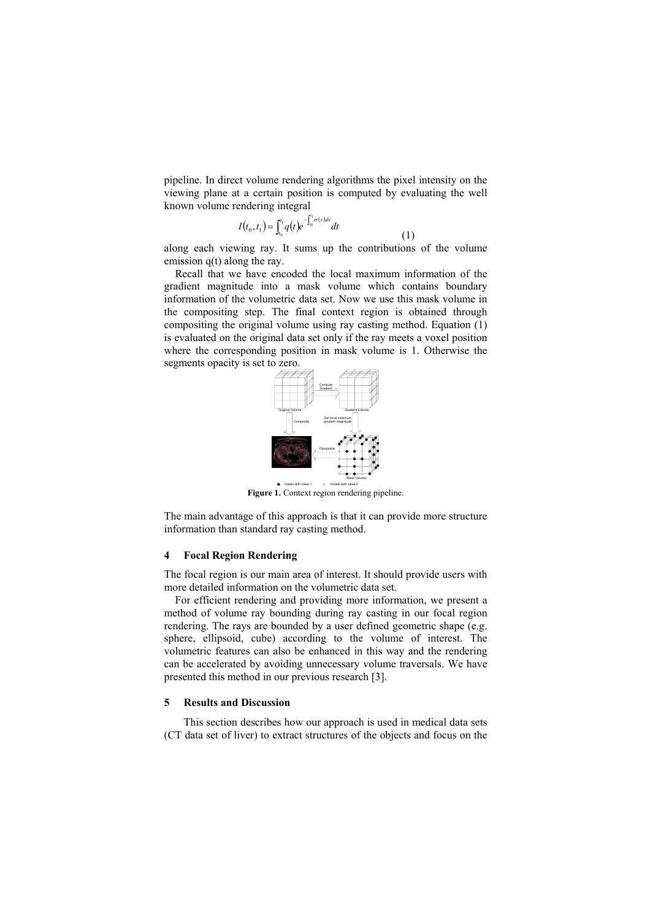pipeline. In direct volume rendering algorithms the pixel intensity on the viewing plane at a certain position is computed by evaluating the well known volume rendering integral

$$
I(t_0, t_1) = \int_{t_0}^{t_1} q(t) e^{-\int_{t_0}^{t_1} \sigma(s) ds} dt
$$
\n(1)

along each viewing ray. It sums up the contributions of the volume emission q(t) along the ray.

Recall that we have encoded the local maximum information of the gradient magnitude into a mask volume which contains boundary information of the volumetric data set. Now we use this mask volume in the compositing step. The final context region is obtained through compositing the original volume using ray casting method. Equation (1) is evaluated on the original data set only if the ray meets a voxel position where the corresponding position in mask volume is 1. Otherwise the segments opacity is set to zero.



**Figure 1.** Context region rendering pipeline.

The main advantage of this approach is that it can provide more structure information than standard ray casting method.

# **4 Focal Region Rendering**

The focal region is our main area of interest. It should provide users with more detailed information on the volumetric data set.

For efficient rendering and providing more information, we present a method of volume ray bounding during ray casting in our focal region rendering. The rays are bounded by a user defined geometric shape (e.g. sphere, ellipsoid, cube) according to the volume of interest. The volumetric features can also be enhanced in this way and the rendering can be accelerated by avoiding unnecessary volume traversals. We have presented this method in our previous research [3].

# **5 Results and Discussion**

This section describes how our approach is used in medical data sets (CT data set of liver) to extract structures of the objects and focus on the